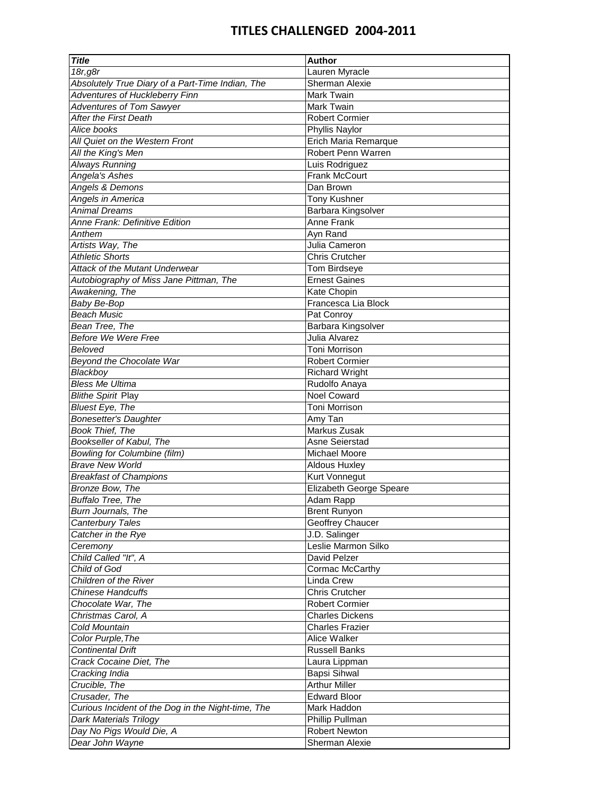| <b>Title</b>                                       | <b>Author</b>           |
|----------------------------------------------------|-------------------------|
| 18r,g8r                                            | Lauren Myracle          |
| Absolutely True Diary of a Part-Time Indian, The   | Sherman Alexie          |
| Adventures of Huckleberry Finn                     | Mark Twain              |
| <b>Adventures of Tom Sawyer</b>                    | Mark Twain              |
| <b>After the First Death</b>                       | <b>Robert Cormier</b>   |
| Alice books                                        | Phyllis Naylor          |
| All Quiet on the Western Front                     | Erich Maria Remarque    |
| All the King's Men                                 | Robert Penn Warren      |
| Always Running                                     | Luis Rodriguez          |
| Angela's Ashes                                     | <b>Frank McCourt</b>    |
| Angels & Demons                                    | Dan Brown               |
| Angels in America                                  | <b>Tony Kushner</b>     |
| <b>Animal Dreams</b>                               | Barbara Kingsolver      |
| Anne Frank: Definitive Edition                     | Anne Frank              |
| Anthem                                             |                         |
|                                                    | Ayn Rand                |
| Artists Way, The                                   | Julia Cameron           |
| <b>Athletic Shorts</b>                             | <b>Chris Crutcher</b>   |
| Attack of the Mutant Underwear                     | Tom Birdseye            |
| Autobiography of Miss Jane Pittman, The            | <b>Ernest Gaines</b>    |
| Awakening, The                                     | Kate Chopin             |
| Baby Be-Bop                                        | Francesca Lia Block     |
| <b>Beach Music</b>                                 | Pat Conroy              |
| Bean Tree. The                                     | Barbara Kingsolver      |
| <b>Before We Were Free</b>                         | Julia Alvarez           |
| Beloved                                            | Toni Morrison           |
| Beyond the Chocolate War                           | <b>Robert Cormier</b>   |
| Blackboy                                           | <b>Richard Wright</b>   |
| <b>Bless Me Ultima</b>                             | Rudolfo Anaya           |
| <b>Blithe Spirit Play</b>                          | <b>Noel Coward</b>      |
| <b>Bluest Eye, The</b>                             | Toni Morrison           |
| <b>Bonesetter's Daughter</b>                       | Amy Tan                 |
| <b>Book Thief. The</b>                             | Markus Zusak            |
| Bookseller of Kabul, The                           | Asne Seierstad          |
| <b>Bowling for Columbine (film)</b>                | Michael Moore           |
| <b>Brave New World</b>                             | <b>Aldous Huxley</b>    |
| <b>Breakfast of Champions</b>                      | Kurt Vonnegut           |
| Bronze Bow, The                                    | Elizabeth George Speare |
| <b>Buffalo Tree, The</b>                           | Adam Rapp               |
| Burn Journals, The                                 | <b>Brent Runyon</b>     |
| Canterbury Tales                                   | Geoffrey Chaucer        |
| Catcher in the Rye                                 | J.D. Salinger           |
| Ceremony                                           | Leslie Marmon Silko     |
| Child Called "It", A                               | David Pelzer            |
| Child of God                                       | Cormac McCarthy         |
| Children of the River                              | Linda Crew              |
| Chinese Handcuffs                                  | <b>Chris Crutcher</b>   |
| Chocolate War, The                                 | <b>Robert Cormier</b>   |
| Christmas Carol, A                                 | <b>Charles Dickens</b>  |
|                                                    |                         |
| Cold Mountain                                      | <b>Charles Frazier</b>  |
| Color Purple, The                                  | Alice Walker            |
| <b>Continental Drift</b>                           | <b>Russell Banks</b>    |
| Crack Cocaine Diet, The                            | Laura Lippman           |
| Cracking India                                     | Bapsi Sihwal            |
| Crucible, The                                      | <b>Arthur Miller</b>    |
| Crusader, The                                      | <b>Edward Bloor</b>     |
| Curious Incident of the Dog in the Night-time, The | Mark Haddon             |
| <b>Dark Materials Trilogy</b>                      | Phillip Pullman         |
| Day No Pigs Would Die, A                           | <b>Robert Newton</b>    |
| Dear John Wayne                                    | Sherman Alexie          |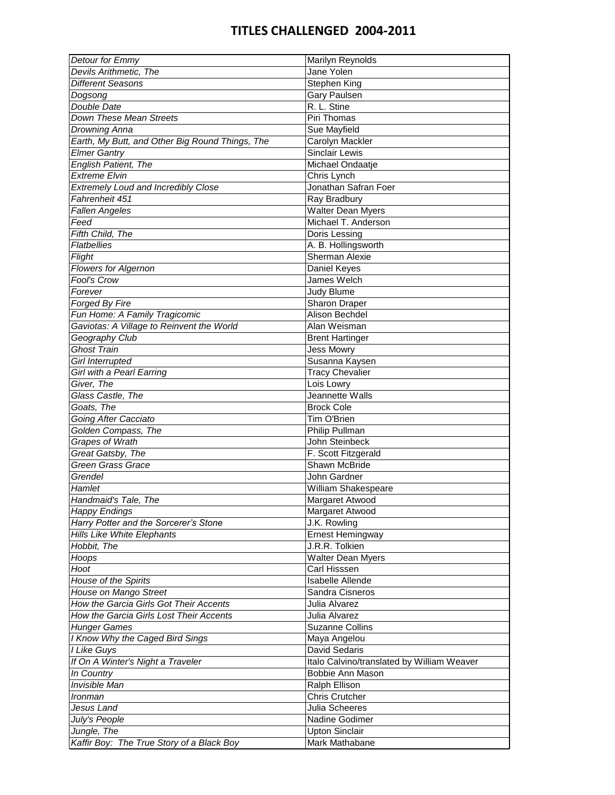| Detour for Emmy                                 | Marilyn Reynolds                           |
|-------------------------------------------------|--------------------------------------------|
| Devils Arithmetic, The                          | Jane Yolen                                 |
| <b>Different Seasons</b>                        | Stephen King                               |
| Dogsong                                         | Gary Paulsen                               |
| Double Date                                     | R. L. Stine                                |
| Down These Mean Streets                         | Piri Thomas                                |
| Drowning Anna                                   | Sue Mayfield                               |
| Earth, My Butt, and Other Big Round Things, The | Carolyn Mackler                            |
| <b>Elmer Gantry</b>                             | <b>Sinclair Lewis</b>                      |
| <b>English Patient, The</b>                     | Michael Ondaatje                           |
| <b>Extreme Elvin</b>                            | Chris Lynch                                |
| <b>Extremely Loud and Incredibly Close</b>      | Jonathan Safran Foer                       |
| Fahrenheit 451                                  | Ray Bradbury                               |
| <b>Fallen Angeles</b>                           | <b>Walter Dean Myers</b>                   |
| Feed                                            | Michael T. Anderson                        |
| Fifth Child, The                                | Doris Lessing                              |
| <b>Flatbellies</b>                              | A. B. Hollingsworth                        |
| Flight                                          | <b>Sherman Alexie</b>                      |
| <b>Flowers for Algernon</b>                     | Daniel Keyes                               |
| Fool's Crow                                     | James Welch                                |
|                                                 |                                            |
| Forever                                         | Judy Blume                                 |
| Forged By Fire                                  | <b>Sharon Draper</b>                       |
| Fun Home: A Family Tragicomic                   | Alison Bechdel                             |
| Gaviotas: A Village to Reinvent the World       | Alan Weisman                               |
| Geography Club                                  | <b>Brent Hartinger</b>                     |
| <b>Ghost Train</b>                              | <b>Jess Mowry</b>                          |
| <b>Girl Interrupted</b>                         | Susanna Kaysen                             |
| Girl with a Pearl Earring                       | <b>Tracy Chevalier</b>                     |
| Giver, The                                      | Lois Lowry                                 |
| Glass Castle, The                               | Jeannette Walls                            |
| Goats, The                                      | <b>Brock Cole</b>                          |
| Going After Cacciato                            | Tim O'Brien                                |
| Golden Compass, The                             | Philip Pullman                             |
| Grapes of Wrath                                 | John Steinbeck                             |
| Great Gatsby, The                               | F. Scott Fitzgerald                        |
| <b>Green Grass Grace</b>                        | <b>Shawn McBride</b>                       |
| Grendel                                         | John Gardner                               |
| Hamlet                                          | William Shakespeare                        |
| Handmaid's Tale, The                            | Margaret Atwood                            |
| <b>Happy Endings</b>                            | Margaret Atwood                            |
| Harry Potter and the Sorcerer's Stone           | J.K. Rowling                               |
| Hills Like White Elephants                      | Ernest Hemingway                           |
| Hobbit, The                                     | J.R.R. Tolkien                             |
| Hoops                                           | Walter Dean Myers                          |
| Hoot                                            | Carl Hisssen                               |
| House of the Spirits                            | <b>Isabelle Allende</b>                    |
| House on Mango Street                           | Sandra Cisneros                            |
| How the Garcia Girls Got Their Accents          | Julia Alvarez                              |
| How the Garcia Girls Lost Their Accents         | Julia Alvarez                              |
| <b>Hunger Games</b>                             | <b>Suzanne Collins</b>                     |
| I Know Why the Caged Bird Sings                 | Maya Angelou                               |
| I Like Guys                                     | David Sedaris                              |
| If On A Winter's Night a Traveler               | Italo Calvino/translated by William Weaver |
| In Country                                      | Bobbie Ann Mason                           |
| Invisible Man                                   | Ralph Ellison                              |
| Ironman                                         | Chris Crutcher                             |
| Jesus Land                                      | Julia Scheeres                             |
| July's People                                   | Nadine Godimer                             |
| Jungle, The                                     | <b>Upton Sinclair</b>                      |
| Kaffir Boy: The True Story of a Black Boy       | Mark Mathabane                             |
|                                                 |                                            |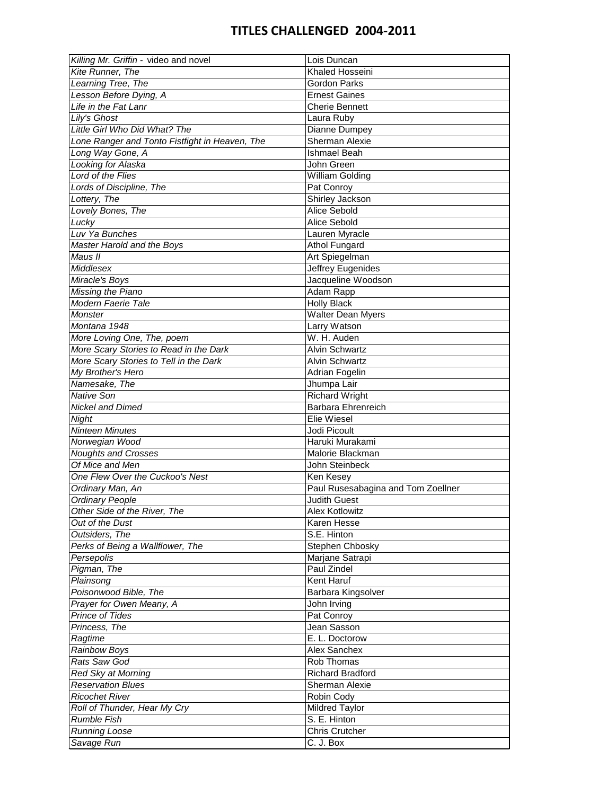| Killing Mr. Griffin - video and novel          | Lois Duncan                        |
|------------------------------------------------|------------------------------------|
| Kite Runner, The                               | Khaled Hosseini                    |
| Learning Tree, The                             | <b>Gordon Parks</b>                |
| Lesson Before Dying, A                         | <b>Ernest Gaines</b>               |
| Life in the Fat Lanr                           | <b>Cherie Bennett</b>              |
| Lily's Ghost                                   | Laura Ruby                         |
| Little Girl Who Did What? The                  | Dianne Dumpey                      |
| Lone Ranger and Tonto Fistfight in Heaven, The | <b>Sherman Alexie</b>              |
| Long Way Gone, A                               | <b>Ishmael Beah</b>                |
| Looking for Alaska                             | John Green                         |
| Lord of the Flies                              | <b>William Golding</b>             |
| Lords of Discipline, The                       | Pat Conroy                         |
| Lottery, The                                   | Shirley Jackson                    |
| Lovely Bones, The                              | Alice Sebold                       |
| Lucky                                          | Alice Sebold                       |
| Luv Ya Bunches                                 |                                    |
|                                                | Lauren Myracle                     |
| Master Harold and the Boys                     | <b>Athol Fungard</b>               |
| Maus II                                        | Art Spiegelman                     |
| Middlesex                                      | Jeffrey Eugenides                  |
| Miracle's Boys                                 | Jacqueline Woodson                 |
| Missing the Piano                              | Adam Rapp                          |
| Modern Faerie Tale                             | <b>Holly Black</b>                 |
| Monster                                        | <b>Walter Dean Myers</b>           |
| Montana 1948                                   | Larry Watson                       |
| More Loving One, The, poem                     | W. H. Auden                        |
| More Scary Stories to Read in the Dark         | <b>Alvin Schwartz</b>              |
| More Scary Stories to Tell in the Dark         | <b>Alvin Schwartz</b>              |
| My Brother's Hero                              | Adrian Fogelin                     |
| Namesake, The                                  | Jhumpa Lair                        |
| <b>Native Son</b>                              | <b>Richard Wright</b>              |
| <b>Nickel and Dimed</b>                        | <b>Barbara Ehrenreich</b>          |
| Night                                          | Elie Wiesel                        |
| <b>Ninteen Minutes</b>                         | Jodi Picoult                       |
| Norwegian Wood                                 | Haruki Murakami                    |
| <b>Noughts and Crosses</b>                     | Malorie Blackman                   |
| Of Mice and Men                                | John Steinbeck                     |
| One Flew Over the Cuckoo's Nest                | Ken Kesey                          |
| Ordinary Man, An                               | Paul Rusesabagina and Tom Zoellner |
| Ordinary People                                | <b>Judith Guest</b>                |
| Other Side of the River, The                   | Alex Kotlowitz                     |
| Out of the Dust                                | Karen Hesse                        |
| Outsiders, The                                 | S.E. Hinton                        |
|                                                |                                    |
| Perks of Being a Wallflower, The               | Stephen Chbosky                    |
| Persepolis                                     | Marjane Satrapi                    |
| Pigman, The                                    | Paul Zindel                        |
| Plainsong                                      | Kent Haruf                         |
| Poisonwood Bible, The                          | Barbara Kingsolver                 |
| Prayer for Owen Meany, A                       | John Irving                        |
| <b>Prince of Tides</b>                         | Pat Conroy                         |
| Princess, The                                  | Jean Sasson                        |
| Ragtime                                        | E. L. Doctorow                     |
| Rainbow Boys                                   | Alex Sanchex                       |
| Rats Saw God                                   | Rob Thomas                         |
| Red Sky at Morning                             | <b>Richard Bradford</b>            |
| <b>Reservation Blues</b>                       | Sherman Alexie                     |
| <b>Ricochet River</b>                          | Robin Cody                         |
| Roll of Thunder, Hear My Cry                   | Mildred Taylor                     |
| <b>Rumble Fish</b>                             | S. E. Hinton                       |
| <b>Running Loose</b>                           | <b>Chris Crutcher</b>              |
| Savage Run                                     | C. J. Box                          |